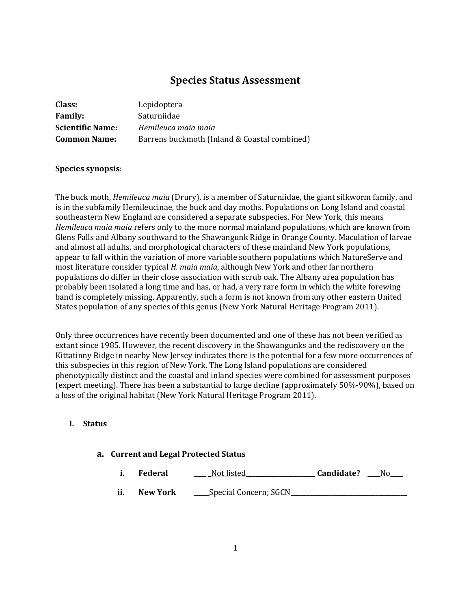# **Species Status Assessment**

| Class:                  | Lepidoptera                                  |
|-------------------------|----------------------------------------------|
| <b>Family:</b>          | Saturniidae                                  |
| <b>Scientific Name:</b> | Hemileuca maia maia                          |
| <b>Common Name:</b>     | Barrens buckmoth (Inland & Coastal combined) |

#### **Species synopsis**:

The buck moth, *Hemileuca maia* (Drury), is a member of Saturniidae, the giant silkworm family, and is in the subfamily Hemileucinae, the buck and day moths. Populations on Long Island and coastal southeastern New England are considered a separate subspecies. For New York, this means *Hemileuca maia maia* refers only to the more normal mainland populations, which are known from Glens Falls and Albany southward to the Shawangunk Ridge in Orange County. Maculation of larvae and almost all adults, and morphological characters of these mainland New York populations, appear to fall within the variation of more variable southern populations which NatureServe and most literature consider typical *H. maia maia*, although New York and other far northern populations do differ in their close association with scrub oak. The Albany area population has probably been isolated a long time and has, or had, a very rare form in which the white forewing band is completely missing. Apparently, such a form is not known from any other eastern United States population of any species of this genus (New York Natural Heritage Program 2011).

Only three occurrences have recently been documented and one of these has not been verified as extant since 1985. However, the recent discovery in the Shawangunks and the rediscovery on the Kittatinny Ridge in nearby New Jersey indicates there is the potential for a few more occurrences of this subspecies in this region of New York. The Long Island populations are considered phenotypically distinct and the coastal and inland species were combined for assessment purposes (expert meeting). There has been a substantial to large decline (approximately 50%-90%), based on a loss of the original habitat (New York Natural Heritage Program 2011).

### **I. Status**

#### **a. Current and Legal Protected Status**

- **i. Federal \_\_\_\_ \_**Not listed**\_\_\_\_\_\_\_\_\_\_\_\_\_\_\_\_\_\_\_\_\_\_ Candidate? \_\_\_\_**No**\_\_\_\_**
- **ii. New York** <u>\_\_\_\_\_Special Concern; SGCN</u>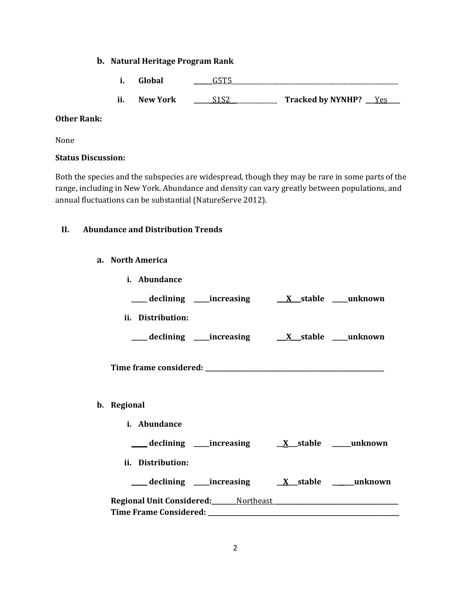### **b. Natural Heritage Program Rank**

- **i. Global \_\_\_\_\_\_**G5T5\_\_\_\_\_\_\_\_\_\_\_\_\_\_\_\_\_\_\_\_\_\_\_\_\_\_\_\_\_\_\_\_\_\_\_\_\_\_\_\_\_\_\_\_\_\_\_\_\_\_\_\_\_
- **ii. New York \_\_\_\_\_\_**S1S2\_\_\_\_\_\_\_\_\_\_\_\_\_\_\_ **Tracked by NYNHP? \_\_\_**Yes**\_\_\_\_**

## **Other Rank:**

None

## **Status Discussion:**

Both the species and the subspecies are widespread, though they may be rare in some parts of the range, including in New York. Abundance and density can vary greatly between populations, and annual fluctuations can be substantial (NatureServe 2012).

## **II. Abundance and Distribution Trends**

### **a. North America**

| i. Abundance                                  |  |
|-----------------------------------------------|--|
|                                               |  |
| ii. Distribution:                             |  |
|                                               |  |
|                                               |  |
| b. Regional                                   |  |
| i. Abundance                                  |  |
|                                               |  |
| ii. Distribution:                             |  |
|                                               |  |
| Regional Unit Considered: Northeast Northeast |  |

**Time Frame Considered: \_\_\_\_\_\_\_\_\_\_\_\_\_\_\_\_\_\_\_\_\_\_\_\_\_\_\_\_\_\_\_\_\_\_\_\_\_\_\_\_\_\_\_\_\_\_\_\_\_\_\_\_\_\_\_\_\_\_\_\_\_**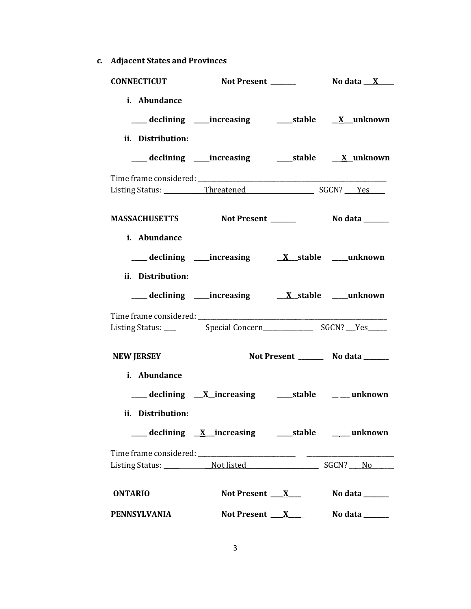**c. Adjacent States and Provinces**

| <b>CONNECTICUT</b>                              |                                                               |                      |                                       |
|-------------------------------------------------|---------------------------------------------------------------|----------------------|---------------------------------------|
| i. Abundance<br>ii. Distribution:               | ___declining ___increasing _____stable ___ <u>X</u> _unknown  |                      |                                       |
|                                                 | ___declining ___increasing ______stable __ <u>_X</u> _unknown |                      |                                       |
|                                                 |                                                               |                      |                                       |
| MASSACHUSETTS Not Present _______ No data _____ |                                                               |                      |                                       |
| i. Abundance<br>ii. Distribution:               |                                                               |                      |                                       |
|                                                 | ___ declining ____increasing ____ <u>X_stable __</u> _unknown |                      |                                       |
|                                                 |                                                               |                      |                                       |
| <b>NEW JERSEY</b><br>i. Abundance               |                                                               |                      | Not Present _________ No data _______ |
| ii. Distribution:                               | ___ declining <u>X</u> _increasing _____stable _____ unknown  |                      |                                       |
|                                                 |                                                               |                      |                                       |
|                                                 |                                                               |                      |                                       |
| <b>ONTARIO</b>                                  | Not Present $\mathbf{X}$                                      |                      | No data                               |
| PENNSYLVANIA                                    |                                                               | Not Present <u>X</u> | No data $\_\_$                        |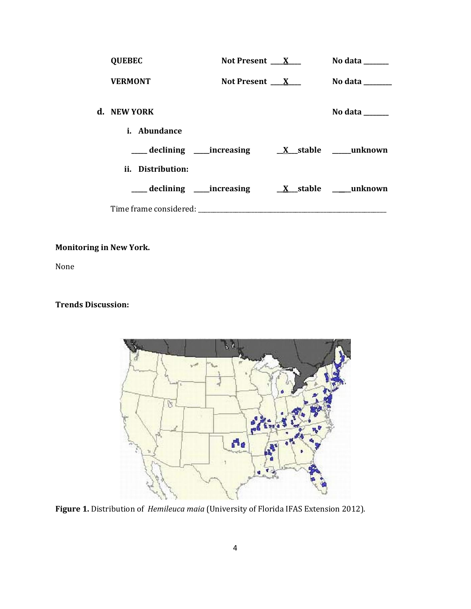| <b>QUEBEC</b>                                                                                                                                                                                                                  | Not Present $X_{-}$ | No data ______                                                              |
|--------------------------------------------------------------------------------------------------------------------------------------------------------------------------------------------------------------------------------|---------------------|-----------------------------------------------------------------------------|
| <b>VERMONT</b>                                                                                                                                                                                                                 | Not Present $X_{-}$ | No data $\_\_\_\_\_\_\_\_\_\_\_\$                                           |
| d. NEW YORK                                                                                                                                                                                                                    |                     | No data $\frac{1}{\sqrt{1-\frac{1}{2}}\cdot\frac{1}{\sqrt{1-\frac{1}{2}}}}$ |
| <i>i.</i> Abundance                                                                                                                                                                                                            |                     |                                                                             |
|                                                                                                                                                                                                                                |                     |                                                                             |
| ii. Distribution:                                                                                                                                                                                                              |                     |                                                                             |
|                                                                                                                                                                                                                                |                     |                                                                             |
| Time frame considered: Time and the constant of the contract of the contract of the contract of the contract of the contract of the contract of the contract of the contract of the contract of the contract of the contract o |                     |                                                                             |

# **Monitoring in New York.**

None

# **Trends Discussion:**



**Figure 1.** Distribution of *Hemileuca maia* (University of Florida IFAS Extension 2012).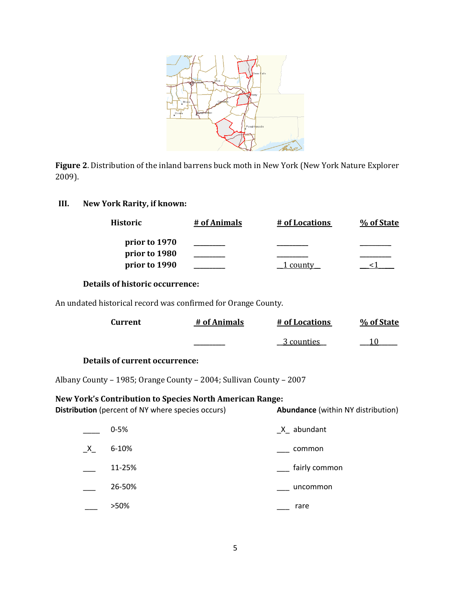

**Figure 2**. Distribution of the inland barrens buck moth in New York (New York Nature Explorer 2009).

# **III. New York Rarity, if known:**

| Historic      | # of Animals | # of Locations | % of State |
|---------------|--------------|----------------|------------|
| prior to 1970 |              |                |            |
| prior to 1980 |              |                |            |
| prior to 1990 |              |                |            |

## **Details of historic occurrence:**

An undated historical record was confirmed for Orange County.

| Current                               | # of Animals | # of Locations | % of State |
|---------------------------------------|--------------|----------------|------------|
|                                       |              | 3 counties     |            |
| <b>Details of current occurrence:</b> |              |                |            |

Albany County – 1985; Orange County – 2004; Sullivan County – 2007

# **New York's Contribution to Species North American Range:**

| <b>Distribution</b> (percent of NY where species occurs) | <b>Abundance</b> (within NY distribution) |
|----------------------------------------------------------|-------------------------------------------|
|----------------------------------------------------------|-------------------------------------------|

|         | $0 - 5%$  | $X_$ abundant |
|---------|-----------|---------------|
| $X_{-}$ | $6 - 10%$ | common        |
|         | 11-25%    | fairly common |
|         | 26-50%    | uncommon      |
|         | >50%      | rare          |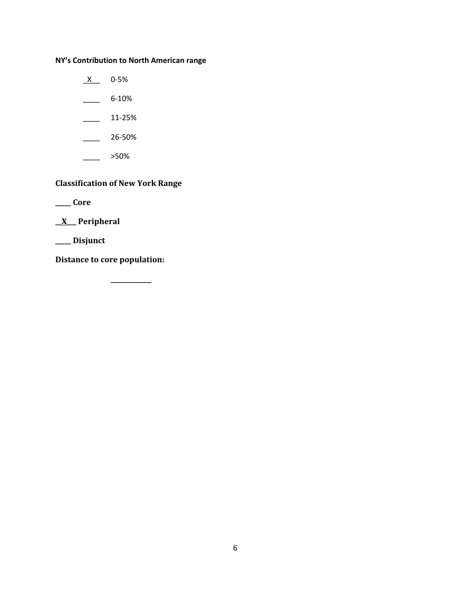# **NY's Contribution to North American range**

 $X$  0-5%

 $\frac{6-10\%}{10}$ 

 $\frac{11-25\%}{2}$ 

\_\_\_\_ 26-50%

\_\_\_\_ >50%

# **Classification of New York Range**

**\_\_\_\_\_ Core**

**\_\_X\_\_\_ Peripheral**

**\_\_\_\_\_ Disjunct**

**Distance to core population:**

**\_\_\_\_\_\_\_\_\_\_\_\_\_**

6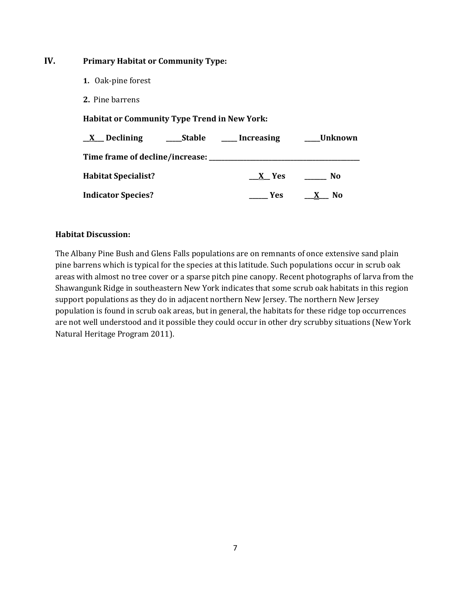## **IV. Primary Habitat or Community Type:**

- **1.** Oak-pine forest
- **2.** Pine barrens

**Habitat or Community Type Trend in New York:**

| $X$ Declining              | Stable | Increasing | Unknown                        |
|----------------------------|--------|------------|--------------------------------|
|                            |        |            |                                |
| <b>Habitat Specialist?</b> |        | X Yes      | No                             |
| <b>Indicator Species?</b>  |        | <b>Yes</b> | N <sub>0</sub><br>$\mathbf{X}$ |

### **Habitat Discussion:**

The Albany Pine Bush and Glens Falls populations are on remnants of once extensive sand plain pine barrens which is typical for the species at this latitude. Such populations occur in scrub oak areas with almost no tree cover or a sparse pitch pine canopy. Recent photographs of larva from the Shawangunk Ridge in southeastern New York indicates that some scrub oak habitats in this region support populations as they do in adjacent northern New Jersey. The northern New Jersey population is found in scrub oak areas, but in general, the habitats for these ridge top occurrences are not well understood and it possible they could occur in other dry scrubby situations (New York Natural Heritage Program 2011).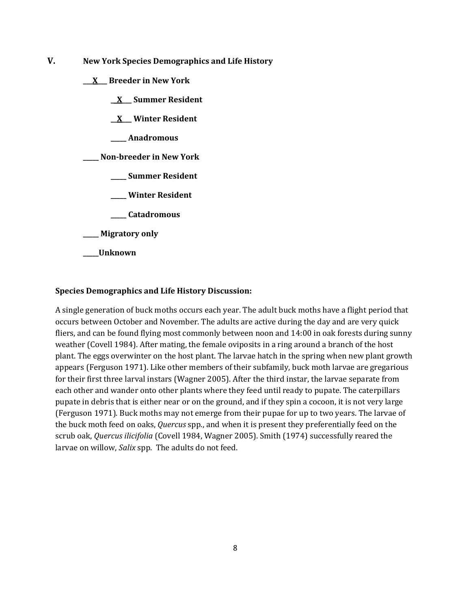- **V. New York Species Demographics and Life History**
	- **\_\_\_X\_\_\_ Breeder in New York**
		- **\_\_X\_\_\_ Summer Resident**
		- **\_\_X\_\_\_ Winter Resident**
		- **\_\_\_\_\_ Anadromous**

**\_\_\_\_\_ Non-breeder in New York**

- **\_\_\_\_\_ Summer Resident**
- **\_\_\_\_\_ Winter Resident**
- **\_\_\_\_\_ Catadromous**
- **\_\_\_\_\_ Migratory only**
- **\_\_\_\_\_Unknown**

#### **Species Demographics and Life History Discussion:**

A single generation of buck moths occurs each year. The adult buck moths have a flight period that occurs between October and November. The adults are active during the day and are very quick fliers, and can be found flying most commonly between noon and 14:00 in oak forests during sunny weather (Covell 1984). After mating, the female oviposits in a ring around a branch of the host plant. The eggs overwinter on the host plant. The larvae hatch in the spring when new plant growth appears (Ferguson 1971). Like other members of their subfamily, buck moth larvae are gregarious for their first three larval instars (Wagner 2005). After the third instar, the larvae separate from each other and wander onto other plants where they feed until ready to pupate. The caterpillars pupate in debris that is either near or on the ground, and if they spin a cocoon, it is not very large (Ferguson 1971). Buck moths may not emerge from their pupae for up to two years. The larvae of the buck moth feed on oaks, *Quercus* spp., and when it is present they preferentially feed on the scrub oak, *Quercus ilicifolia* (Covell 1984, Wagner 2005). Smith (1974) successfully reared the larvae on willow, *Salix* spp. The adults do not feed.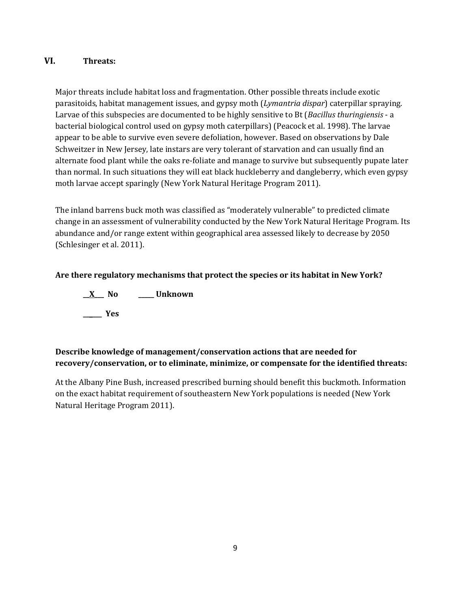## **VI. Threats:**

Major threats include habitat loss and fragmentation. Other possible threats include exotic parasitoids, habitat management issues, and gypsy moth (*Lymantria dispar*) caterpillar spraying. Larvae of this subspecies are documented to be highly sensitive to Bt (*Bacillus thuringiensis* - a bacterial biological control used on gypsy moth caterpillars) (Peacock et al. 1998). The larvae appear to be able to survive even severe defoliation, however. Based on observations by Dale Schweitzer in New Jersey, late instars are very tolerant of starvation and can usually find an alternate food plant while the oaks re-foliate and manage to survive but subsequently pupate later than normal. In such situations they will eat black huckleberry and dangleberry, which even gypsy moth larvae accept sparingly (New York Natural Heritage Program 2011).

The inland barrens buck moth was classified as "moderately vulnerable" to predicted climate change in an assessment of vulnerability conducted by the New York Natural Heritage Program. Its abundance and/or range extent within geographical area assessed likely to decrease by 2050 (Schlesinger et al. 2011).

# **Are there regulatory mechanisms that protect the species or its habitat in New York?**

**\_\_X\_\_\_ No \_\_\_\_\_ Unknown \_\_\_\_\_\_ Yes** 

# **Describe knowledge of management/conservation actions that are needed for recovery/conservation, or to eliminate, minimize, or compensate for the identified threats:**

At the Albany Pine Bush, increased prescribed burning should benefit this buckmoth. Information on the exact habitat requirement of southeastern New York populations is needed (New York Natural Heritage Program 2011).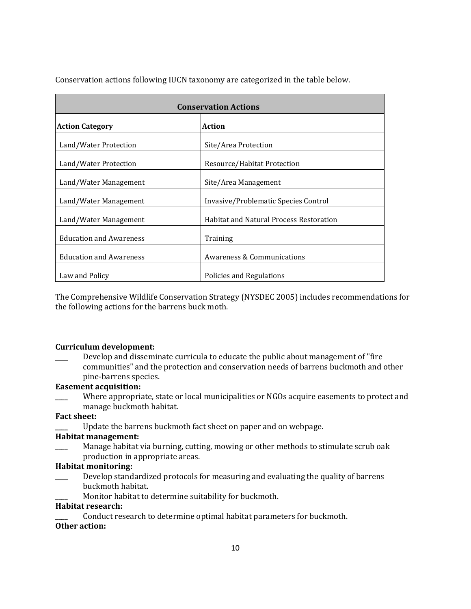| <b>Conservation Actions</b>    |                                                |  |
|--------------------------------|------------------------------------------------|--|
| <b>Action Category</b>         | <b>Action</b>                                  |  |
| Land/Water Protection          | Site/Area Protection                           |  |
| Land/Water Protection          | Resource/Habitat Protection                    |  |
| Land/Water Management          | Site/Area Management                           |  |
| Land/Water Management          | Invasive/Problematic Species Control           |  |
| Land/Water Management          | <b>Habitat and Natural Process Restoration</b> |  |
| <b>Education and Awareness</b> | Training                                       |  |
| <b>Education and Awareness</b> | Awareness & Communications                     |  |
| Law and Policy                 | Policies and Regulations                       |  |

Conservation actions following IUCN taxonomy are categorized in the table below.

The Comprehensive Wildlife Conservation Strategy (NYSDEC 2005) includes recommendations for the following actions for the barrens buck moth.

### **Curriculum development:**

Develop and disseminate curricula to educate the public about management of "fire" communities" and the protection and conservation needs of barrens buckmoth and other pine-barrens species.

### **Easement acquisition:**

Where appropriate, state or local municipalities or NGOs acquire easements to protect and manage buckmoth habitat.

#### **Fact sheet:**

Update the barrens buckmoth fact sheet on paper and on webpage.

#### **Habitat management:**

Manage habitat via burning, cutting, mowing or other methods to stimulate scrub oak production in appropriate areas.

#### **Habitat monitoring:**

- \_\_\_\_ Develop standardized protocols for measuring and evaluating the quality of barrens buckmoth habitat.
	- Monitor habitat to determine suitability for buckmoth.

#### **Habitat research:**

Conduct research to determine optimal habitat parameters for buckmoth.

# **Other action:**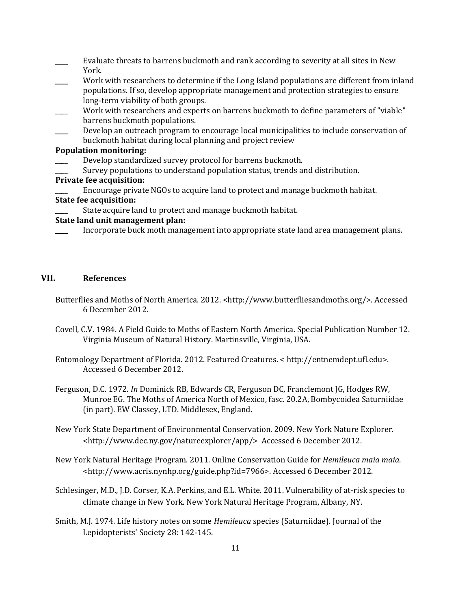- Evaluate threats to barrens buckmoth and rank according to severity at all sites in New York.
- Work with researchers to determine if the Long Island populations are different from inland populations. If so, develop appropriate management and protection strategies to ensure long-term viability of both groups.
- Work with researchers and experts on barrens buckmoth to define parameters of "viable" barrens buckmoth populations.
- Develop an outreach program to encourage local municipalities to include conservation of buckmoth habitat during local planning and project review

#### **Population monitoring:**

- Develop standardized survey protocol for barrens buckmoth.
- Survey populations to understand population status, trends and distribution.

#### **Private fee acquisition:**

Encourage private NGOs to acquire land to protect and manage buckmoth habitat.

#### **State fee acquisition:**

State acquire land to protect and manage buckmoth habitat.

### **State land unit management plan:**

Incorporate buck moth management into appropriate state land area management plans.

#### **VII. References**

- Butterflies and Moths of North America. 2012. <http://www.butterfliesandmoths.org/>. Accessed 6 December 2012.
- Covell, C.V. 1984. A Field Guide to Moths of Eastern North America. Special Publication Number 12. Virginia Museum of Natural History. Martinsville, Virginia, USA.
- Entomology Department of Florida. 2012. Featured Creatures. < http://entnemdept.ufl.edu>. Accessed 6 December 2012.
- Ferguson, D.C. 1972. *In* Dominick RB, Edwards CR, Ferguson DC, Franclemont JG, Hodges RW, Munroe EG. The Moths of America North of Mexico, fasc. 20.2A, Bombycoidea Saturniidae (in part). EW Classey, LTD. Middlesex, England.
- New York State Department of Environmental Conservation. 2009. New York Nature Explorer. <http://www.dec.ny.gov/natureexplorer/app/> Accessed 6 December 2012.
- New York Natural Heritage Program. 2011. Online Conservation Guide for *Hemileuca maia maia*. <http://www.acris.nynhp.org/guide.php?id=7966>. Accessed 6 December 2012.
- Schlesinger, M.D., J.D. Corser, K.A. Perkins, and E.L. White. 2011. Vulnerability of at-risk species to climate change in New York. New York Natural Heritage Program, Albany, NY.
- Smith, M.J. 1974. Life history notes on some *Hemileuca* species (Saturniidae). Journal of the Lepidopterists' Society 28: 142-145.